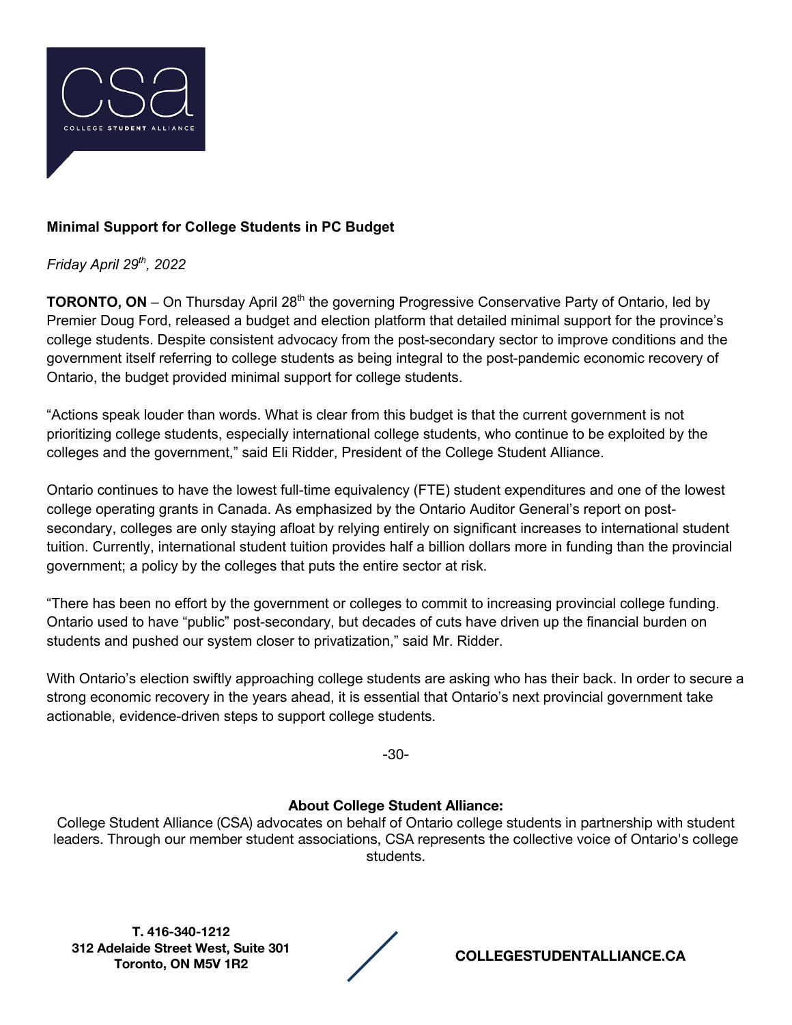

## **Minimal Support for College Students in PC Budget**

*Friday April 29th, 2022*

**TORONTO, ON** – On Thursday April 28<sup>th</sup> the governing Progressive Conservative Party of Ontario, led by Premier Doug Ford, released a budget and election platform that detailed minimal support for the province's college students. Despite consistent advocacy from the post-secondary sector to improve conditions and the government itself referring to college students as being integral to the post-pandemic economic recovery of Ontario, the budget provided minimal support for college students.

"Actions speak louder than words. What is clear from this budget is that the current government is not prioritizing college students, especially international college students, who continue to be exploited by the colleges and the government," said Eli Ridder, President of the College Student Alliance.

Ontario continues to have the lowest full-time equivalency (FTE) student expenditures and one of the lowest college operating grants in Canada. As emphasized by the Ontario Auditor General's report on postsecondary, colleges are only staying afloat by relying entirely on significant increases to international student tuition. Currently, international student tuition provides half a billion dollars more in funding than the provincial government; a policy by the colleges that puts the entire sector at risk.

"There has been no effort by the government or colleges to commit to increasing provincial college funding. Ontario used to have "public" post-secondary, but decades of cuts have driven up the financial burden on students and pushed our system closer to privatization," said Mr. Ridder.

With Ontario's election swiftly approaching college students are asking who has their back. In order to secure a strong economic recovery in the years ahead, it is essential that Ontario's next provincial government take actionable, evidence-driven steps to support college students.

-30-

## **About College Student Alliance:**

College Student Alliance (CSA) advocates on behalf of Ontario college students in partnership with student leaders. Through our member student associations, CSA represents the collective voice of Ontario's college students.

**T. 416-340-1212 312 Adelaide Street West, Suite 301** 

**Toronto, ON M5V 1R2 COLLEGESTUDENTALLIANCE.CA**